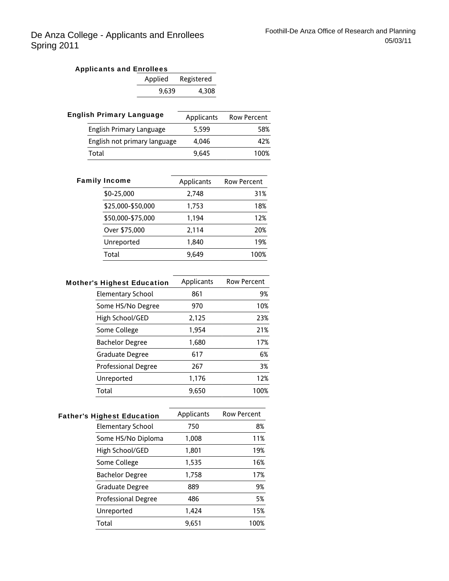| <b>Applicants and Enrollees</b> |       |                    |  |
|---------------------------------|-------|--------------------|--|
|                                 |       | Applied Registered |  |
|                                 | 9.639 | 4.308              |  |

| <b>English Primary Language</b> | Applicants | <b>Row Percent</b> |
|---------------------------------|------------|--------------------|
| English Primary Language        | 5.599      | 58%                |
| English not primary language    | 4.046      | 42%                |
| Total                           | 9.645      | 100%               |
|                                 |            |                    |

| <b>Family Income</b> | Applicants | <b>Row Percent</b> |
|----------------------|------------|--------------------|
| \$0-25,000           | 2.748      | 31%                |
| \$25,000-\$50,000    | 1,753      | 18%                |
| \$50,000-\$75,000    | 1,194      | 12%                |
| Over \$75,000        | 2,114      | 20%                |
| Unreported           | 1.840      | 19%                |
| Total                | 9.649      | 100%               |
|                      |            |                    |

| <b>Mother's Highest Education</b> | Applicants | <b>Row Percent</b> |
|-----------------------------------|------------|--------------------|
| <b>Elementary School</b>          | 861        | 9%                 |
| Some HS/No Degree                 | 970        | 10%                |
| High School/GED                   | 2,125      | 23%                |
| Some College                      | 1,954      | 21%                |
| <b>Bachelor Degree</b>            | 1,680      | 17%                |
| Graduate Degree                   | 617        | 6%                 |
| <b>Professional Degree</b>        | 267        | 3%                 |
| Unreported                        | 1,176      | 12%                |
| Total                             | 9.650      | 100%               |

| <b>Father's Highest Education</b> | Applicants | <b>Row Percent</b> |
|-----------------------------------|------------|--------------------|
| Elementary School                 | 750        | 8%                 |
| Some HS/No Diploma                | 1,008      | 11%                |
| High School/GED                   | 1,801      | 19%                |
| Some College                      | 1,535      | 16%                |
| <b>Bachelor Degree</b>            | 1,758      | 17%                |
| Graduate Degree                   | 889        | 9%                 |
| <b>Professional Degree</b>        | 486        | 5%                 |
| Unreported                        | 1,424      | 15%                |
| Total                             | 9.651      | 100%               |